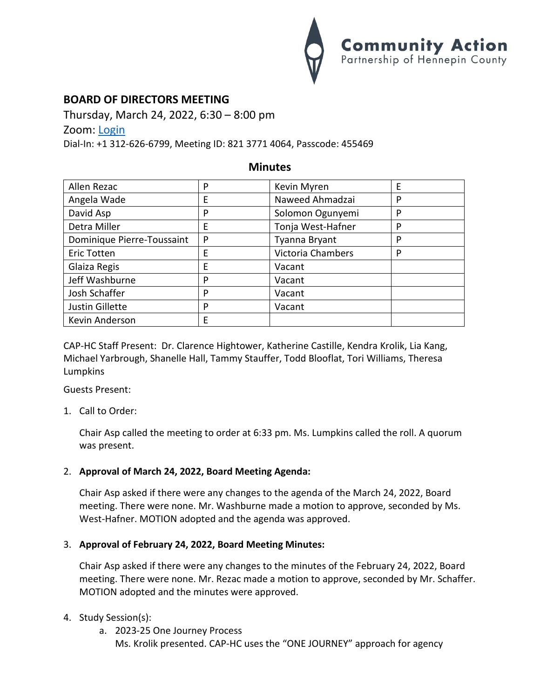

# **BOARD OF DIRECTORS MEETING**

Thursday, March 24, 2022, 6:30 – 8:00 pm Zoom: [Login](https://us02web.zoom.us/j/82137714064?pwd=N1dZY3NqWXFUbGR2UGZGdWdTNkNDdz09)

Dial-In: +1 312-626-6799, Meeting ID: 821 3771 4064, Passcode: 455469

# **Minutes**

| Allen Rezac                | P | Kevin Myren              | E |
|----------------------------|---|--------------------------|---|
| Angela Wade                | E | Naweed Ahmadzai          | P |
| David Asp                  | P | Solomon Ogunyemi         | P |
| Detra Miller               | E | Tonja West-Hafner        | P |
| Dominique Pierre-Toussaint | P | Tyanna Bryant            | P |
| <b>Eric Totten</b>         | E | <b>Victoria Chambers</b> | P |
| Glaiza Regis               | E | Vacant                   |   |
| Jeff Washburne             | P | Vacant                   |   |
| Josh Schaffer              | P | Vacant                   |   |
| Justin Gillette            | P | Vacant                   |   |
| Kevin Anderson             | E |                          |   |

CAP-HC Staff Present: Dr. Clarence Hightower, Katherine Castille, Kendra Krolik, Lia Kang, Michael Yarbrough, Shanelle Hall, Tammy Stauffer, Todd Blooflat, Tori Williams, Theresa Lumpkins

Guests Present:

1. Call to Order:

Chair Asp called the meeting to order at 6:33 pm. Ms. Lumpkins called the roll. A quorum was present.

## 2. **Approval of March 24, 2022, Board Meeting Agenda:**

Chair Asp asked if there were any changes to the agenda of the March 24, 2022, Board meeting. There were none. Mr. Washburne made a motion to approve, seconded by Ms. West-Hafner. MOTION adopted and the agenda was approved.

## 3. **Approval of February 24, 2022, Board Meeting Minutes:**

Chair Asp asked if there were any changes to the minutes of the February 24, 2022, Board meeting. There were none. Mr. Rezac made a motion to approve, seconded by Mr. Schaffer. MOTION adopted and the minutes were approved.

## 4. Study Session(s):

a. 2023-25 One Journey Process Ms. Krolik presented. CAP-HC uses the "ONE JOURNEY" approach for agency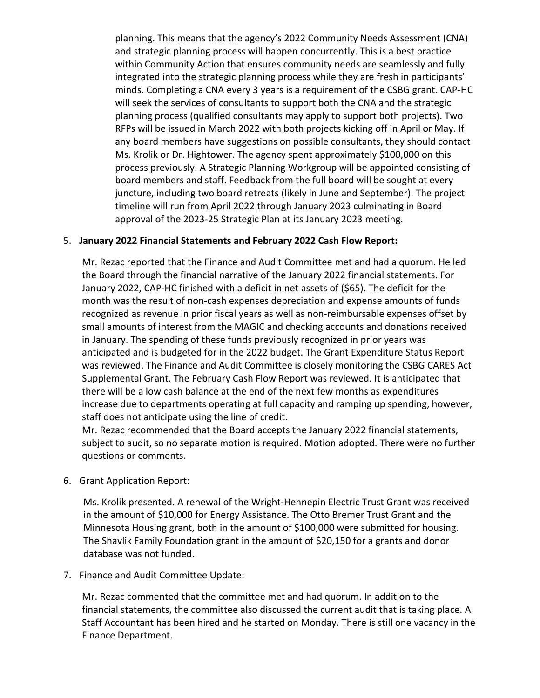planning. This means that the agency's 2022 Community Needs Assessment (CNA) and strategic planning process will happen concurrently. This is a best practice within Community Action that ensures community needs are seamlessly and fully integrated into the strategic planning process while they are fresh in participants' minds. Completing a CNA every 3 years is a requirement of the CSBG grant. CAP-HC will seek the services of consultants to support both the CNA and the strategic planning process (qualified consultants may apply to support both projects). Two RFPs will be issued in March 2022 with both projects kicking off in April or May. If any board members have suggestions on possible consultants, they should contact Ms. Krolik or Dr. Hightower. The agency spent approximately \$100,000 on this process previously. A Strategic Planning Workgroup will be appointed consisting of board members and staff. Feedback from the full board will be sought at every juncture, including two board retreats (likely in June and September). The project timeline will run from April 2022 through January 2023 culminating in Board approval of the 2023-25 Strategic Plan at its January 2023 meeting.

## 5. **January 2022 Financial Statements and February 2022 Cash Flow Report:**

Mr. Rezac reported that the Finance and Audit Committee met and had a quorum. He led the Board through the financial narrative of the January 2022 financial statements. For January 2022, CAP-HC finished with a deficit in net assets of (\$65). The deficit for the month was the result of non-cash expenses depreciation and expense amounts of funds recognized as revenue in prior fiscal years as well as non-reimbursable expenses offset by small amounts of interest from the MAGIC and checking accounts and donations received in January. The spending of these funds previously recognized in prior years was anticipated and is budgeted for in the 2022 budget. The Grant Expenditure Status Report was reviewed. The Finance and Audit Committee is closely monitoring the CSBG CARES Act Supplemental Grant. The February Cash Flow Report was reviewed. It is anticipated that there will be a low cash balance at the end of the next few months as expenditures increase due to departments operating at full capacity and ramping up spending, however, staff does not anticipate using the line of credit.

Mr. Rezac recommended that the Board accepts the January 2022 financial statements, subject to audit, so no separate motion is required. Motion adopted. There were no further questions or comments.

6. Grant Application Report:

Ms. Krolik presented. A renewal of the Wright-Hennepin Electric Trust Grant was received in the amount of \$10,000 for Energy Assistance. The Otto Bremer Trust Grant and the Minnesota Housing grant, both in the amount of \$100,000 were submitted for housing. The Shavlik Family Foundation grant in the amount of \$20,150 for a grants and donor database was not funded.

7. Finance and Audit Committee Update:

Mr. Rezac commented that the committee met and had quorum. In addition to the financial statements, the committee also discussed the current audit that is taking place. A Staff Accountant has been hired and he started on Monday. There is still one vacancy in the Finance Department.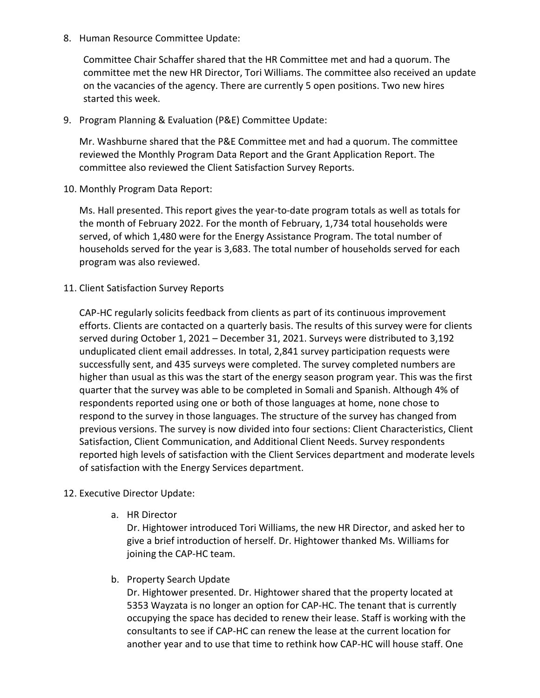8. Human Resource Committee Update:

Committee Chair Schaffer shared that the HR Committee met and had a quorum. The committee met the new HR Director, Tori Williams. The committee also received an update on the vacancies of the agency. There are currently 5 open positions. Two new hires started this week.

9. Program Planning & Evaluation (P&E) Committee Update:

Mr. Washburne shared that the P&E Committee met and had a quorum. The committee reviewed the Monthly Program Data Report and the Grant Application Report. The committee also reviewed the Client Satisfaction Survey Reports.

10. Monthly Program Data Report:

Ms. Hall presented. This report gives the year-to-date program totals as well as totals for the month of February 2022. For the month of February, 1,734 total households were served, of which 1,480 were for the Energy Assistance Program. The total number of households served for the year is 3,683. The total number of households served for each program was also reviewed.

11. Client Satisfaction Survey Reports

CAP-HC regularly solicits feedback from clients as part of its continuous improvement efforts. Clients are contacted on a quarterly basis. The results of this survey were for clients served during October 1, 2021 – December 31, 2021. Surveys were distributed to 3,192 unduplicated client email addresses. In total, 2,841 survey participation requests were successfully sent, and 435 surveys were completed. The survey completed numbers are higher than usual as this was the start of the energy season program year. This was the first quarter that the survey was able to be completed in Somali and Spanish. Although 4% of respondents reported using one or both of those languages at home, none chose to respond to the survey in those languages. The structure of the survey has changed from previous versions. The survey is now divided into four sections: Client Characteristics, Client Satisfaction, Client Communication, and Additional Client Needs. Survey respondents reported high levels of satisfaction with the Client Services department and moderate levels of satisfaction with the Energy Services department.

# 12. Executive Director Update:

a. HR Director

Dr. Hightower introduced Tori Williams, the new HR Director, and asked her to give a brief introduction of herself. Dr. Hightower thanked Ms. Williams for joining the CAP-HC team.

b. Property Search Update

Dr. Hightower presented. Dr. Hightower shared that the property located at 5353 Wayzata is no longer an option for CAP-HC. The tenant that is currently occupying the space has decided to renew their lease. Staff is working with the consultants to see if CAP-HC can renew the lease at the current location for another year and to use that time to rethink how CAP-HC will house staff. One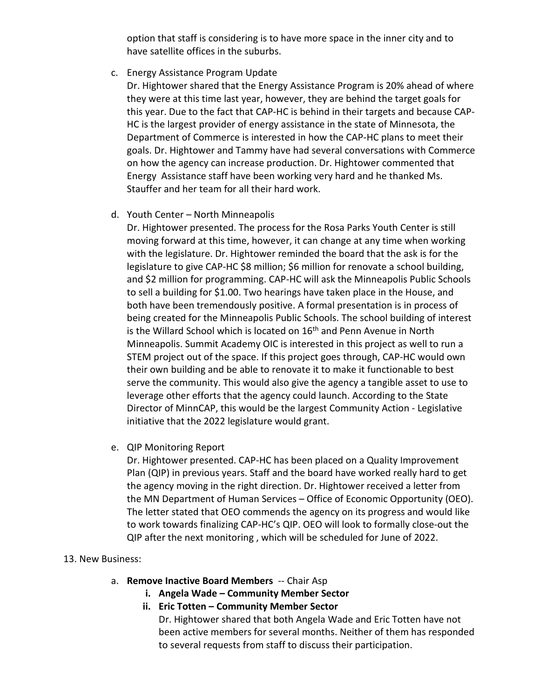option that staff is considering is to have more space in the inner city and to have satellite offices in the suburbs.

## c. Energy Assistance Program Update

Dr. Hightower shared that the Energy Assistance Program is 20% ahead of where they were at this time last year, however, they are behind the target goals for this year. Due to the fact that CAP-HC is behind in their targets and because CAP-HC is the largest provider of energy assistance in the state of Minnesota, the Department of Commerce is interested in how the CAP-HC plans to meet their goals. Dr. Hightower and Tammy have had several conversations with Commerce on how the agency can increase production. Dr. Hightower commented that Energy Assistance staff have been working very hard and he thanked Ms. Stauffer and her team for all their hard work.

d. Youth Center – North Minneapolis

Dr. Hightower presented. The process for the Rosa Parks Youth Center is still moving forward at this time, however, it can change at any time when working with the legislature. Dr. Hightower reminded the board that the ask is for the legislature to give CAP-HC \$8 million; \$6 million for renovate a school building, and \$2 million for programming. CAP-HC will ask the Minneapolis Public Schools to sell a building for \$1.00. Two hearings have taken place in the House, and both have been tremendously positive. A formal presentation is in process of being created for the Minneapolis Public Schools. The school building of interest is the Willard School which is located on 16<sup>th</sup> and Penn Avenue in North Minneapolis. Summit Academy OIC is interested in this project as well to run a STEM project out of the space. If this project goes through, CAP-HC would own their own building and be able to renovate it to make it functionable to best serve the community. This would also give the agency a tangible asset to use to leverage other efforts that the agency could launch. According to the State Director of MinnCAP, this would be the largest Community Action - Legislative initiative that the 2022 legislature would grant.

e. QIP Monitoring Report

Dr. Hightower presented. CAP-HC has been placed on a Quality Improvement Plan (QIP) in previous years. Staff and the board have worked really hard to get the agency moving in the right direction. Dr. Hightower received a letter from the MN Department of Human Services – Office of Economic Opportunity (OEO). The letter stated that OEO commends the agency on its progress and would like to work towards finalizing CAP-HC's QIP. OEO will look to formally close-out the QIP after the next monitoring , which will be scheduled for June of 2022.

## 13. New Business:

- a. **Remove Inactive Board Members** -- Chair Asp
	- **i. Angela Wade – Community Member Sector**
	- **ii. Eric Totten – Community Member Sector**

Dr. Hightower shared that both Angela Wade and Eric Totten have not been active members for several months. Neither of them has responded to several requests from staff to discuss their participation.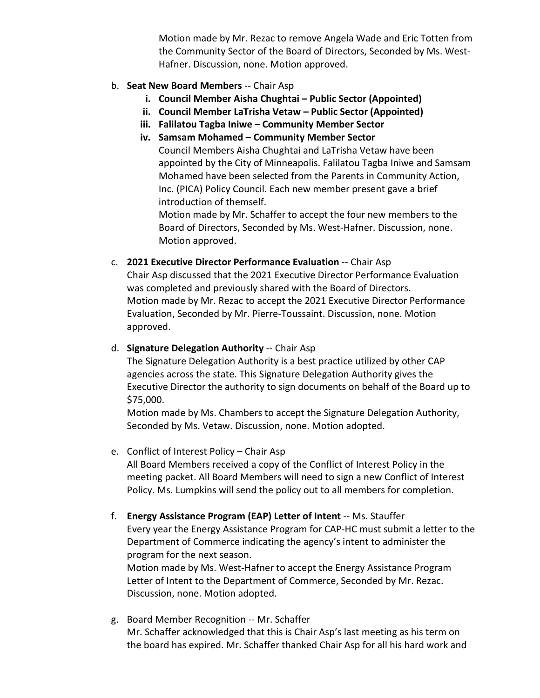Motion made by Mr. Rezac to remove Angela Wade and Eric Totten from the Community Sector of the Board of Directors, Seconded by Ms. West-Hafner. Discussion, none. Motion approved.

# b. **Seat New Board Members** -- Chair Asp

- **i. Council Member Aisha Chughtai – Public Sector (Appointed)**
- **ii. Council Member LaTrisha Vetaw – Public Sector (Appointed)**
- **iii. Falilatou Tagba Iniwe – Community Member Sector**
- **iv. Samsam Mohamed – Community Member Sector** Council Members Aisha Chughtai and LaTrisha Vetaw have been appointed by the City of Minneapolis. Falilatou Tagba Iniwe and Samsam Mohamed have been selected from the Parents in Community Action, Inc. (PICA) Policy Council. Each new member present gave a brief introduction of themself.

Motion made by Mr. Schaffer to accept the four new members to the Board of Directors, Seconded by Ms. West-Hafner. Discussion, none. Motion approved.

c. **2021 Executive Director Performance Evaluation** -- Chair Asp Chair Asp discussed that the 2021 Executive Director Performance Evaluation was completed and previously shared with the Board of Directors. Motion made by Mr. Rezac to accept the 2021 Executive Director Performance Evaluation, Seconded by Mr. Pierre-Toussaint. Discussion, none. Motion approved.

# d. **Signature Delegation Authority** -- Chair Asp

The Signature Delegation Authority is a best practice utilized by other CAP agencies across the state. This Signature Delegation Authority gives the Executive Director the authority to sign documents on behalf of the Board up to \$75,000.

Motion made by Ms. Chambers to accept the Signature Delegation Authority, Seconded by Ms. Vetaw. Discussion, none. Motion adopted.

e. Conflict of Interest Policy – Chair Asp

All Board Members received a copy of the Conflict of Interest Policy in the meeting packet. All Board Members will need to sign a new Conflict of Interest Policy. Ms. Lumpkins will send the policy out to all members for completion.

f. **Energy Assistance Program (EAP) Letter of Intent** -- Ms. Stauffer Every year the Energy Assistance Program for CAP-HC must submit a letter to the Department of Commerce indicating the agency's intent to administer the program for the next season.

Motion made by Ms. West-Hafner to accept the Energy Assistance Program Letter of Intent to the Department of Commerce, Seconded by Mr. Rezac. Discussion, none. Motion adopted.

g. Board Member Recognition -- Mr. Schaffer Mr. Schaffer acknowledged that this is Chair Asp's last meeting as his term on the board has expired. Mr. Schaffer thanked Chair Asp for all his hard work and